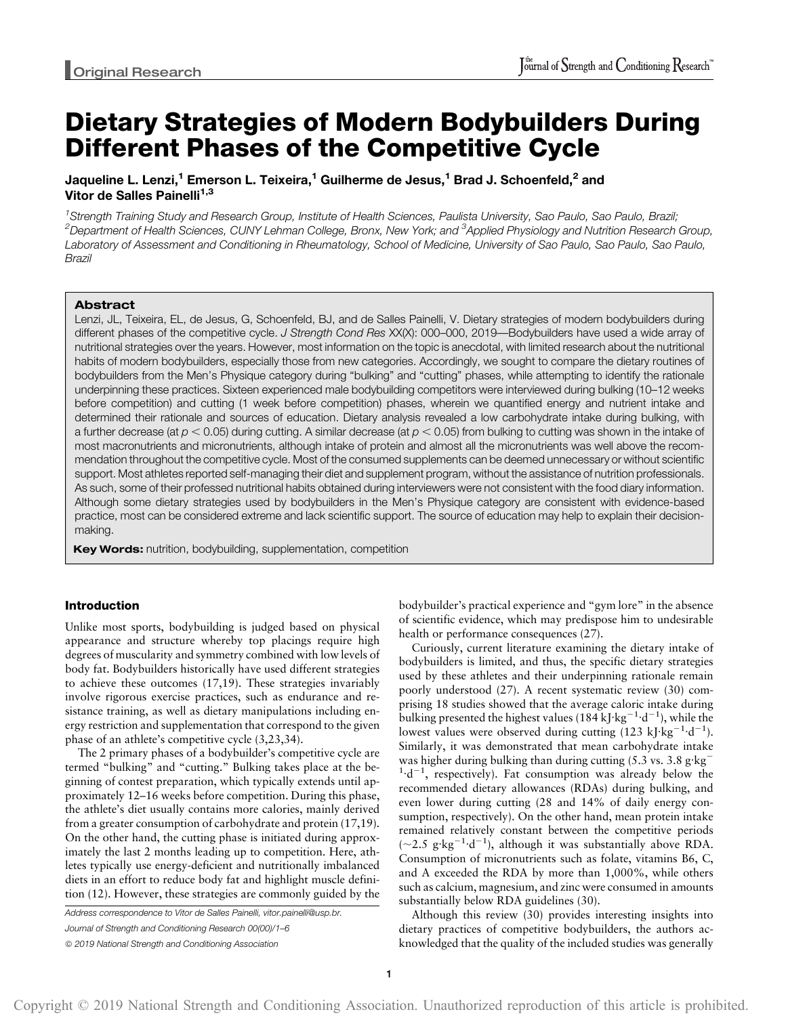# Dietary Strategies of Modern Bodybuilders During Different Phases of the Competitive Cycle

Jaqueline L. Lenzi,<sup>1</sup> Emerson L. Teixeira,<sup>1</sup> Guilherme de Jesus,<sup>1</sup> Brad J. Schoenfeld,<sup>2</sup> and Vitor de Salles Painelli<sup>1,3</sup>

<sup>1</sup>Strength Training Study and Research Group, Institute of Health Sciences, Paulista University, Sao Paulo, Sao Paulo, Brazil;  $^2$ Department of Health Sciences, CUNY Lehman College, Bronx, New York; and  $^3$ Applied Physiology and Nutrition Research Group, Laboratory of Assessment and Conditioning in Rheumatology, School of Medicine, University of Sao Paulo, Sao Paulo, Sao Paulo, Brazil

## Abstract

Lenzi, JL, Teixeira, EL, de Jesus, G, Schoenfeld, BJ, and de Salles Painelli, V. Dietary strategies of modern bodybuilders during different phases of the competitive cycle. J Strength Cond Res XX(X): 000-000, 2019—Bodybuilders have used a wide array of nutritional strategies over the years. However, most information on the topic is anecdotal, with limited research about the nutritional habits of modern bodybuilders, especially those from new categories. Accordingly, we sought to compare the dietary routines of bodybuilders from the Men's Physique category during "bulking" and "cutting" phases, while attempting to identify the rationale underpinning these practices. Sixteen experienced male bodybuilding competitors were interviewed during bulking (10–12 weeks before competition) and cutting (1 week before competition) phases, wherein we quantified energy and nutrient intake and determined their rationale and sources of education. Dietary analysis revealed a low carbohydrate intake during bulking, with a further decrease (at  $p < 0.05$ ) during cutting. A similar decrease (at  $p < 0.05$ ) from bulking to cutting was shown in the intake of most macronutrients and micronutrients, although intake of protein and almost all the micronutrients was well above the recommendation throughout the competitive cycle. Most of the consumed supplements can be deemed unnecessary or without scientific support. Most athletes reported self-managing their diet and supplement program, without the assistance of nutrition professionals. As such, some of their professed nutritional habits obtained during interviewers were not consistent with the food diary information. Although some dietary strategies used by bodybuilders in the Men's Physique category are consistent with evidence-based practice, most can be considered extreme and lack scientific support. The source of education may help to explain their decisionmaking.

Key Words: nutrition, bodybuilding, supplementation, competition

## Introduction

Unlike most sports, bodybuilding is judged based on physical appearance and structure whereby top placings require high degrees of muscularity and symmetry combined with low levels of body fat. Bodybuilders historically have used different strategies to achieve these outcomes (17,19). These strategies invariably involve rigorous exercise practices, such as endurance and resistance training, as well as dietary manipulations including energy restriction and supplementation that correspond to the given phase of an athlete's competitive cycle (3,23,34).

The 2 primary phases of a bodybuilder's competitive cycle are termed "bulking" and "cutting." Bulking takes place at the beginning of contest preparation, which typically extends until approximately 12–16 weeks before competition. During this phase, the athlete's diet usually contains more calories, mainly derived from a greater consumption of carbohydrate and protein (17,19). On the other hand, the cutting phase is initiated during approximately the last 2 months leading up to competition. Here, athletes typically use energy-deficient and nutritionally imbalanced diets in an effort to reduce body fat and highlight muscle definition (12). However, these strategies are commonly guided by the

Address correspondence to Vitor de Salles Painelli, [vitor.painelli@usp.br.](mailto:vitor.painelli@usp.br)

Journal of Strength and Conditioning Research 00(00)/1–6

© 2019 National Strength and Conditioning Association

bodybuilder's practical experience and "gym lore" in the absence of scientific evidence, which may predispose him to undesirable health or performance consequences (27).

Curiously, current literature examining the dietary intake of bodybuilders is limited, and thus, the specific dietary strategies used by these athletes and their underpinning rationale remain poorly understood (27). A recent systematic review (30) comprising 18 studies showed that the average caloric intake during bulking presented the highest values (184 kJ·kg<sup>-1</sup>·d<sup>-1</sup>), while the lowest values were observed during cutting  $(123 \text{ kJ/kg}^{-1} \cdot d^{-1})$ . Similarly, it was demonstrated that mean carbohydrate intake was higher during bulking than during cutting  $(5.3 \text{ vs. } 3.8 \text{ g/kg}^{-1})$  $1 \cdot d^{-1}$ , respectively). Fat consumption was already below the recommended dietary allowances (RDAs) during bulking, and even lower during cutting (28 and 14% of daily energy consumption, respectively). On the other hand, mean protein intake remained relatively constant between the competitive periods  $(-2.5 \text{ g} \cdot \text{kg}^{-1} \cdot \text{d}^{-1})$ , although it was substantially above RDA. Consumption of micronutrients such as folate, vitamins B6, C, and A exceeded the RDA by more than 1,000%, while others such as calcium, magnesium, and zinc were consumed in amounts substantially below RDA guidelines (30).

Although this review (30) provides interesting insights into dietary practices of competitive bodybuilders, the authors acknowledged that the quality of the included studies was generally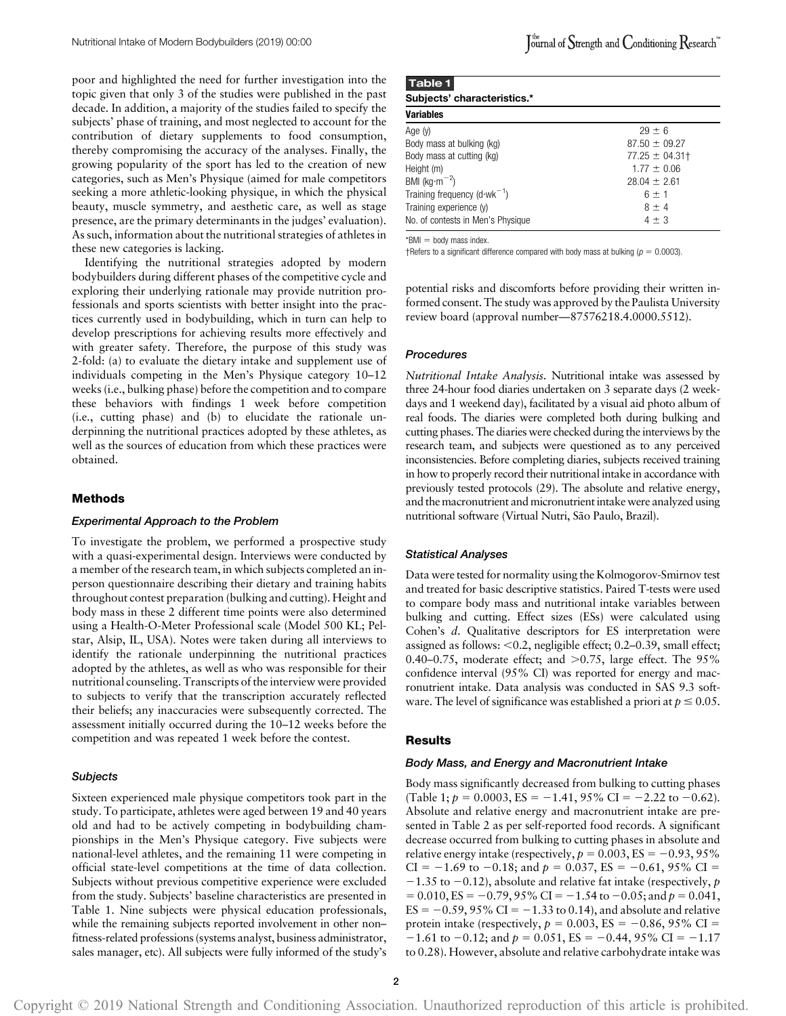poor and highlighted the need for further investigation into the topic given that only 3 of the studies were published in the past decade. In addition, a majority of the studies failed to specify the subjects' phase of training, and most neglected to account for the contribution of dietary supplements to food consumption, thereby compromising the accuracy of the analyses. Finally, the growing popularity of the sport has led to the creation of new categories, such as Men's Physique (aimed for male competitors seeking a more athletic-looking physique, in which the physical beauty, muscle symmetry, and aesthetic care, as well as stage presence, are the primary determinants in the judges' evaluation). As such, information about the nutritional strategies of athletes in these new categories is lacking.

Identifying the nutritional strategies adopted by modern bodybuilders during different phases of the competitive cycle and exploring their underlying rationale may provide nutrition professionals and sports scientists with better insight into the practices currently used in bodybuilding, which in turn can help to develop prescriptions for achieving results more effectively and with greater safety. Therefore, the purpose of this study was 2-fold: (a) to evaluate the dietary intake and supplement use of individuals competing in the Men's Physique category 10–12 weeks (i.e., bulking phase) before the competition and to compare these behaviors with findings 1 week before competition (i.e., cutting phase) and (b) to elucidate the rationale underpinning the nutritional practices adopted by these athletes, as well as the sources of education from which these practices were obtained.

## Methods

## Experimental Approach to the Problem

To investigate the problem, we performed a prospective study with a quasi-experimental design. Interviews were conducted by a member of the research team, in which subjects completed an inperson questionnaire describing their dietary and training habits throughout contest preparation (bulking and cutting). Height and body mass in these 2 different time points were also determined using a Health-O-Meter Professional scale (Model 500 KL; Pelstar, Alsip, IL, USA). Notes were taken during all interviews to identify the rationale underpinning the nutritional practices adopted by the athletes, as well as who was responsible for their nutritional counseling. Transcripts of the interview were provided to subjects to verify that the transcription accurately reflected their beliefs; any inaccuracies were subsequently corrected. The assessment initially occurred during the 10–12 weeks before the competition and was repeated 1 week before the contest.

#### **Subjects**

Sixteen experienced male physique competitors took part in the study. To participate, athletes were aged between 19 and 40 years old and had to be actively competing in bodybuilding championships in the Men's Physique category. Five subjects were national-level athletes, and the remaining 11 were competing in official state-level competitions at the time of data collection. Subjects without previous competitive experience were excluded from the study. Subjects' baseline characteristics are presented in Table 1. Nine subjects were physical education professionals, while the remaining subjects reported involvement in other non– fitness-related professions (systems analyst, business administrator, sales manager, etc). All subjects were fully informed of the study's

| Table 1                           |                   |
|-----------------------------------|-------------------|
| Subjects' characteristics.*       |                   |
| <b>Variables</b>                  |                   |
| Age (y)                           | $29 + 6$          |
| Body mass at bulking (kg)         | $87.50 \pm 09.27$ |
| Body mass at cutting (kg)         | $77.25 \pm 04.31$ |
| Height (m)                        | $1.77 + 0.06$     |
| BMI ( $kg·m-2$ )                  | $28.04 + 2.61$    |
| Training frequency $(d-wk^{-1})$  | $6 + 1$           |
| Training experience (y)           | $8 \pm 4$         |
| No. of contests in Men's Physique | $4 + 3$           |

 $*$ BMI = body mass index.

†Refers to a significant difference compared with body mass at bulking ( $p = 0.0003$ ).

potential risks and discomforts before providing their written informed consent. The study was approved by the Paulista University review board (approval number—87576218.4.0000.5512).

#### Procedures

Nutritional Intake Analysis. Nutritional intake was assessed by three 24-hour food diaries undertaken on 3 separate days (2 weekdays and 1 weekend day), facilitated by a visual aid photo album of real foods. The diaries were completed both during bulking and cutting phases. The diaries were checked during the interviews by the research team, and subjects were questioned as to any perceived inconsistencies. Before completing diaries, subjects received training in how to properly record their nutritional intake in accordance with previously tested protocols (29). The absolute and relative energy, and the macronutrient and micronutrient intake were analyzed using nutritional software (Virtual Nutri, São Paulo, Brazil).

#### Statistical Analyses

Data were tested for normality using the Kolmogorov-Smirnov test and treated for basic descriptive statistics. Paired T-tests were used to compare body mass and nutritional intake variables between bulking and cutting. Effect sizes (ESs) were calculated using Cohen's d. Qualitative descriptors for ES interpretation were assigned as follows:  $<$  0.2, negligible effect; 0.2–0.39, small effect; 0.40–0.75, moderate effect; and  $>0.75$ , large effect. The 95% confidence interval (95% CI) was reported for energy and macronutrient intake. Data analysis was conducted in SAS 9.3 software. The level of significance was established a priori at  $p \le 0.05$ .

#### Results

#### Body Mass, and Energy and Macronutrient Intake

Body mass significantly decreased from bulking to cutting phases (Table 1;  $p = 0.0003$ , ES = -1.41, 95% CI = -2.22 to -0.62). Absolute and relative energy and macronutrient intake are presented in Table 2 as per self-reported food records. A significant decrease occurred from bulking to cutting phases in absolute and relative energy intake (respectively,  $p = 0.003$ , ES = -0.93, 95% CI =  $-1.69$  to  $-0.18$ ; and  $p = 0.037$ , ES =  $-0.61$ , 95% CI =  $-1.35$  to  $-0.12$ ), absolute and relative fat intake (respectively, p  $= 0.010$ , ES = -0.79, 95% CI = -1.54 to -0.05; and p = 0.041,  $ES = -0.59, 95\% \text{ CI} = -1.33 \text{ to } 0.14$ , and absolute and relative protein intake (respectively,  $p = 0.003$ , ES = -0.86, 95% CI =  $-1.61$  to  $-0.12$ ; and  $p = 0.051$ , ES =  $-0.44$ , 95% CI =  $-1.17$ to 0.28). However, absolute and relative carbohydrate intake was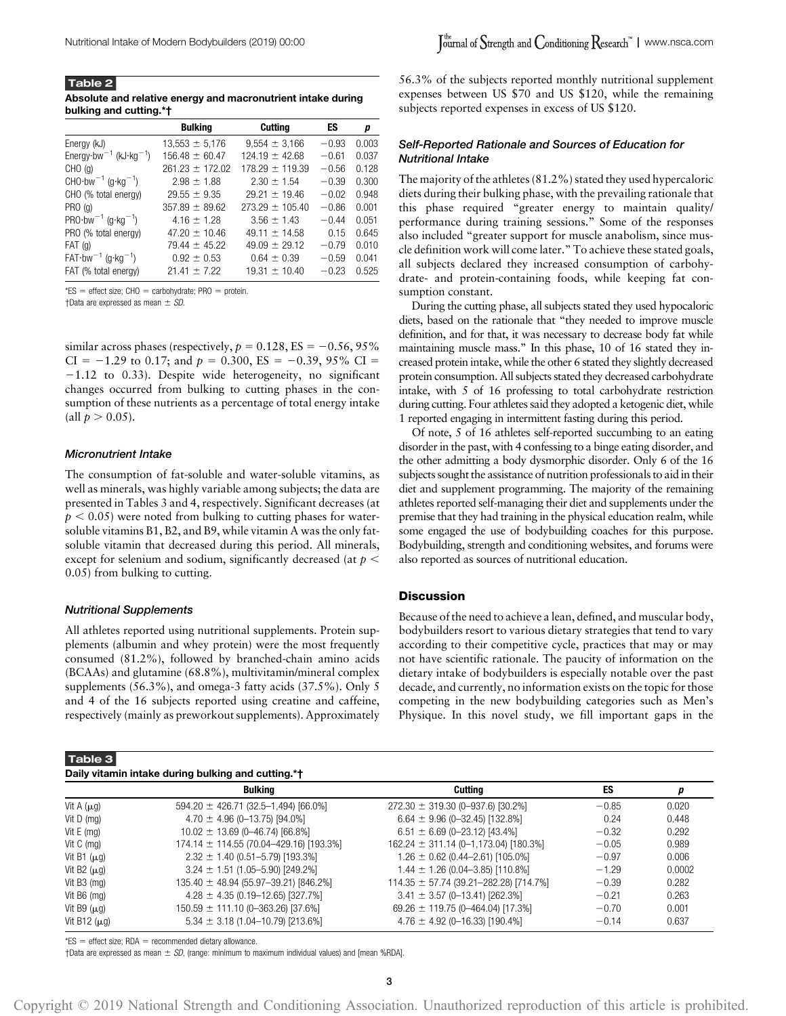Table 2 Absolute and relative energy and macronutrient intake during bulking and cutting.\*†

|                                                                | <b>Bulking</b>      | <b>Cutting</b>      | ES      | р     |
|----------------------------------------------------------------|---------------------|---------------------|---------|-------|
| Energy (kJ)                                                    | $13,553 \pm 5,176$  | $9,554 \pm 3,166$   | $-0.93$ | 0.003 |
| Energy $\cdot$ bw <sup>-1</sup> (kJ $\cdot$ kg <sup>-1</sup> ) | $156.48 \pm 60.47$  | $124.19 \pm 42.68$  | $-0.61$ | 0.037 |
| $CHO$ (g)                                                      | $261.23 \pm 172.02$ | $178.29 \pm 119.39$ | $-0.56$ | 0.128 |
| CHO $\cdot$ bw <sup>-1</sup> (g $\cdot$ kg <sup>-1</sup> )     | $2.98 \pm 1.88$     | $2.30 \pm 1.54$     | $-0.39$ | 0.300 |
| CHO (% total energy)                                           | $29.55 \pm 9.35$    | $29.21 \pm 19.46$   | $-0.02$ | 0.948 |
| PRO(q)                                                         | $357.89 \pm 89.62$  | $273.29 \pm 105.40$ | $-0.86$ | 0.001 |
| PRO $\cdot$ bw <sup>-1</sup> (g $\cdot$ kg <sup>-1</sup> )     | $4.16 \pm 1.28$     | $3.56 \pm 1.43$     | $-0.44$ | 0.051 |
| PRO (% total energy)                                           | $47.20 \pm 10.46$   | $49.11 \pm 14.58$   | 0.15    | 0.645 |
| $FAT$ (g)                                                      | $79.44 \pm 45.22$   | $49.09 \pm 29.12$   | $-0.79$ | 0.010 |
| $FAT-bw^{-1}$ (g·kg <sup>-1</sup> )                            | $0.92 \pm 0.53$     | $0.64 \pm 0.39$     | $-0.59$ | 0.041 |
| FAT (% total energy)                                           | $21.41 \pm 7.22$    | $19.31 \pm 10.40$   | $-0.23$ | 0.525 |

 $*ES$  = effect size; CHO = carbohydrate; PRO = protein.

†Data are expressed as mean  $\pm$  SD.

similar across phases (respectively,  $p = 0.128$ , ES = -0.56, 95% CI =  $-1.29$  to 0.17; and  $p = 0.300$ , ES =  $-0.39$ , 95% CI =  $-1.12$  to 0.33). Despite wide heterogeneity, no significant changes occurred from bulking to cutting phases in the consumption of these nutrients as a percentage of total energy intake (all  $p > 0.05$ ).

## Micronutrient Intake

The consumption of fat-soluble and water-soluble vitamins, as well as minerals, was highly variable among subjects; the data are presented in Tables 3 and 4, respectively. Significant decreases (at  $p < 0.05$ ) were noted from bulking to cutting phases for watersoluble vitamins B1, B2, and B9, while vitamin A was the only fatsoluble vitamin that decreased during this period. All minerals, except for selenium and sodium, significantly decreased (at  $p <$ 0.05) from bulking to cutting.

#### Nutritional Supplements

All athletes reported using nutritional supplements. Protein supplements (albumin and whey protein) were the most frequently consumed (81.2%), followed by branched-chain amino acids (BCAAs) and glutamine (68.8%), multivitamin/mineral complex supplements (56.3%), and omega-3 fatty acids (37.5%). Only 5 and 4 of the 16 subjects reported using creatine and caffeine, respectively (mainly as preworkout supplements). Approximately

## Table 3

56.3% of the subjects reported monthly nutritional supplement expenses between US \$70 and US \$120, while the remaining subjects reported expenses in excess of US \$120.

## Self-Reported Rationale and Sources of Education for Nutritional Intake

The majority of the athletes (81.2%) stated they used hypercaloric diets during their bulking phase, with the prevailing rationale that this phase required "greater energy to maintain quality/ performance during training sessions." Some of the responses also included "greater support for muscle anabolism, since muscle definition work will come later." To achieve these stated goals, all subjects declared they increased consumption of carbohydrate- and protein-containing foods, while keeping fat consumption constant.

During the cutting phase, all subjects stated they used hypocaloric diets, based on the rationale that "they needed to improve muscle definition, and for that, it was necessary to decrease body fat while maintaining muscle mass." In this phase, 10 of 16 stated they increased protein intake, while the other 6 stated they slightly decreased protein consumption. All subjects stated they decreased carbohydrate intake, with 5 of 16 professing to total carbohydrate restriction during cutting. Four athletes said they adopted a ketogenic diet, while 1 reported engaging in intermittent fasting during this period.

Of note, 5 of 16 athletes self-reported succumbing to an eating disorder in the past, with 4 confessing to a binge eating disorder, and the other admitting a body dysmorphic disorder. Only 6 of the 16 subjects sought the assistance of nutrition professionals to aid in their diet and supplement programming. The majority of the remaining athletes reported self-managing their diet and supplements under the premise that they had training in the physical education realm, while some engaged the use of bodybuilding coaches for this purpose. Bodybuilding, strength and conditioning websites, and forums were also reported as sources of nutritional education.

## **Discussion**

Because of the need to achieve a lean, defined, and muscular body, bodybuilders resort to various dietary strategies that tend to vary according to their competitive cycle, practices that may or may not have scientific rationale. The paucity of information on the dietary intake of bodybuilders is especially notable over the past decade, and currently, no information exists on the topic for those competing in the new bodybuilding categories such as Men's Physique. In this novel study, we fill important gaps in the

| Daily vitamin intake during bulking and cutting.*† |                                              |                                              |         |        |  |
|----------------------------------------------------|----------------------------------------------|----------------------------------------------|---------|--------|--|
|                                                    | <b>Bulking</b>                               | <b>Cutting</b>                               | ES      |        |  |
| Vit A $(\mu g)$                                    | $594.20 \pm 426.71$ (32.5-1,494) [66.0%]     | $272.30 \pm 319.30$ (0-937.6) [30.2%]        | $-0.85$ | 0.020  |  |
| Vit $D$ (mg)                                       | $4.70 \pm 4.96$ (0-13.75) [94.0%]            | $6.64 \pm 9.96$ (0-32.45) [132.8%]           | 0.24    | 0.448  |  |
| Vit $E$ (mg)                                       | $10.02 \pm 13.69$ (0-46.74) [66.8%]          | $6.51 \pm 6.69$ (0-23.12) [43.4%]            | $-0.32$ | 0.292  |  |
| Vit $C$ (mg)                                       | $174.14 \pm 114.55(70.04 - 429.16)$ [193.3%] | $162.24 \pm 311.14 (0 - 1, 173.04)$ [180.3%] | $-0.05$ | 0.989  |  |
| Vit B1 $(\mu$ g)                                   | $2.32 \pm 1.40 \ (0.51 - 5.79) \ [193.3\%]$  | $1.26 \pm 0.62$ (0.44–2.61) [105.0%]         | $-0.97$ | 0.006  |  |
| Vit B2 $(\mu q)$                                   | $3.24 \pm 1.51$ (1.05-5.90) [249.2%]         | $1.44 \pm 1.26 (0.04 - 3.85)$ [110.8%]       | $-1.29$ | 0.0002 |  |
| Vit B3 (mg)                                        | $135.40 \pm 48.94 (55.97 - 39.21) [846.2\%]$ | $114.35 \pm 57.74$ (39.21-282.28) [714.7%]   | $-0.39$ | 0.282  |  |
| Vit B6 (mg)                                        | $4.28 \pm 4.35 (0.19 - 12.65)$ [327.7%]      | $3.41 \pm 3.57$ (0-13.41) [262.3%]           | $-0.21$ | 0.263  |  |
| Vit B9 $(\mu q)$                                   | $150.59 \pm 111.10 (0 - 363.26) [37.6%]$     | 69.26 $\pm$ 119.75 (0-464.04) [17.3%]        | $-0.70$ | 0.001  |  |
| Vit B12 $(\mu q)$                                  | $5.34 \pm 3.18$ (1.04-10.79) [213.6%]        | $4.76 \pm 4.92$ (0-16.33) [190.4%]           | $-0.14$ | 0.637  |  |

 $*ES$  = effect size; RDA = recommended dietary allowance.

 $\dagger$ Data are expressed as mean  $\pm$  SD, (range: minimum to maximum individual values) and [mean %RDA].

Copyright © 2019 National Strength and Conditioning Association. Unauthorized reproduction of this article is prohibited.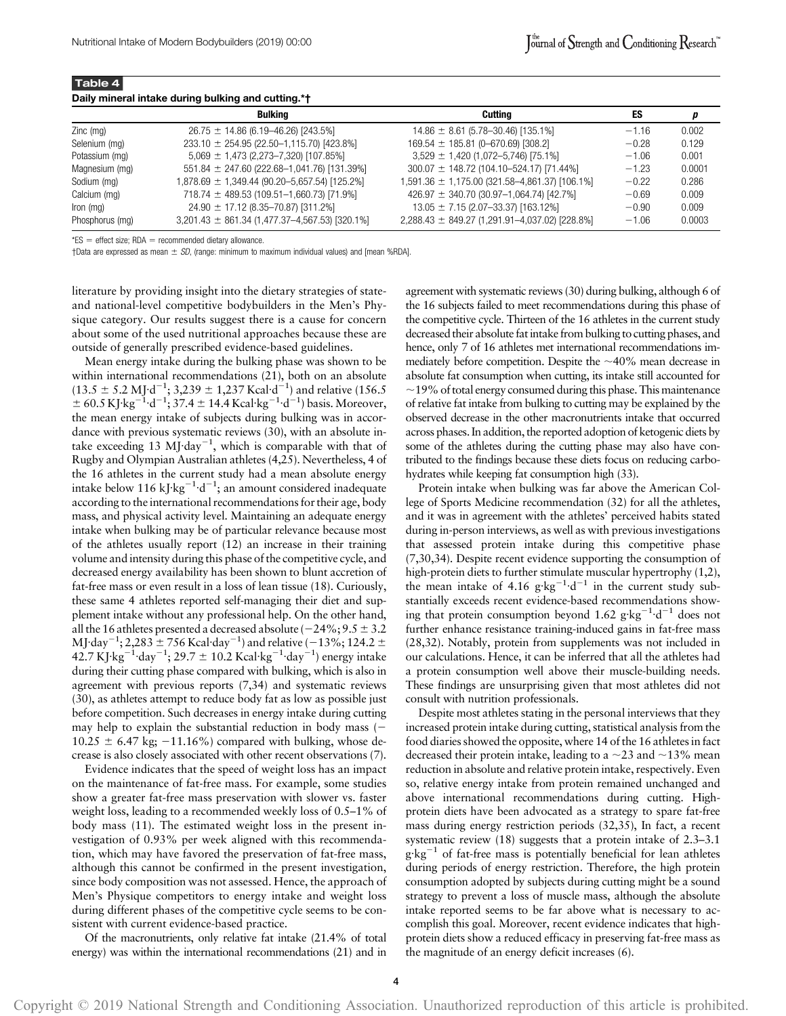Table 4

| Daily mineral intake during bulking and cutting.*† |                                                    |                                                    |         |        |  |
|----------------------------------------------------|----------------------------------------------------|----------------------------------------------------|---------|--------|--|
|                                                    | <b>Bulking</b>                                     | Cuttina                                            | ES      | p      |  |
| $Zinc$ (mg)                                        | $26.75 \pm 14.86$ (6.19–46.26) [243.5%]            | $14.86 \pm 8.61 (5.78 - 30.46)$ [135.1%]           | $-1.16$ | 0.002  |  |
| Selenium (mg)                                      | $233.10 \pm 254.95 (22.50 - 1,115.70)$ [423.8%]    | $169.54 \pm 185.81 (0 - 670.69) [308.2]$           | $-0.28$ | 0.129  |  |
| Potassium (mg)                                     | $5,069 \pm 1,473$ (2,273-7,320) [107.85%]          | $3,529 \pm 1,420$ (1,072-5,746) [75.1%]            | $-1.06$ | 0.001  |  |
| Magnesium (mg)                                     | $551.84 \pm 247.60$ (222.68-1,041.76) [131.39%]    | $300.07 \pm 148.72$ (104.10-524.17) [71.44%]       | $-1.23$ | 0.0001 |  |
| Sodium (mg)                                        | 1,878.69 ± 1,349.44 (90.20–5,657.54) [125.2%]      | $1,591.36 \pm 1,175.00$ (321.58-4,861.37) [106.1%] | $-0.22$ | 0.286  |  |
| Calcium (mg)                                       | $718.74 \pm 489.53$ (109.51-1,660.73) [71.9%]      | $426.97 \pm 340.70$ (30.97-1,064.74) [42.7%]       | $-0.69$ | 0.009  |  |
| Iron (mg)                                          | $24.90 \pm 17.12 (8.35 - 70.87)$ [311.2%]          | $13.05 \pm 7.15$ (2.07-33.37) [163.12%]            | $-0.90$ | 0.009  |  |
| Phosphorus (mg)                                    | $3,201.43 \pm 861.34$ (1,477.37-4,567.53) [320.1%] | $2,288.43 \pm 849.27$ (1,291.91-4,037.02) [228.8%] | $-1.06$ | 0.0003 |  |

 $*ES$  = effect size; RDA = recommended dietary allowance.

†Data are expressed as mean  $\pm$  SD, (range: minimum to maximum individual values) and [mean %RDA].

literature by providing insight into the dietary strategies of stateand national-level competitive bodybuilders in the Men's Physique category. Our results suggest there is a cause for concern about some of the used nutritional approaches because these are outside of generally prescribed evidence-based guidelines.

Mean energy intake during the bulking phase was shown to be within international recommendations (21), both on an absolute  $(13.5 \pm 5.2 \text{ MJ} \cdot \text{d}^{-1}; 3,239 \pm 1,237 \text{ Kcal} \cdot \text{d}^{-1})$  and relative (156.5)  $\pm 60.5 \,\mathrm{KJ} \cdot \mathrm{kg}^{-1} \cdot \mathrm{d}^{-1}$ ; 37.4  $\pm$  14.4 Kcal·kg<sup>-1</sup>·d<sup>-1</sup>) basis. Moreover, the mean energy intake of subjects during bulking was in accordance with previous systematic reviews (30), with an absolute intake exceeding 13 MJ·day<sup>-1</sup>, which is comparable with that of Rugby and Olympian Australian athletes (4,25). Nevertheless, 4 of the 16 athletes in the current study had a mean absolute energy intake below 116 kJ·kg<sup>-1</sup>·d<sup>-1</sup>; an amount considered inadequate according to the international recommendations for their age, body mass, and physical activity level. Maintaining an adequate energy intake when bulking may be of particular relevance because most of the athletes usually report (12) an increase in their training volume and intensity during this phase of the competitive cycle, and decreased energy availability has been shown to blunt accretion of fat-free mass or even result in a loss of lean tissue (18). Curiously, these same 4 athletes reported self-managing their diet and supplement intake without any professional help. On the other hand, all the 16 athletes presented a decreased absolute ( $-24\%$ ;  $9.5 \pm 3.2$ MJ·day $^{-1}$ ; 2,283  $\pm$  756 Kcal·day $^{-1}$ ) and relative ( $-13\%$ ; 124.2  $\pm$  $42.7 \,\mathrm{K} \text{J} \cdot \text{kg}^{-1} \cdot \text{day}^{-1}$ ; 29.7 ± 10.2 Kcal·kg<sup>-1</sup>·day<sup>-1</sup>) energy intake during their cutting phase compared with bulking, which is also in agreement with previous reports (7,34) and systematic reviews (30), as athletes attempt to reduce body fat as low as possible just before competition. Such decreases in energy intake during cutting may help to explain the substantial reduction in body mass  $(-\mathbb{R})$  $10.25 \pm 6.47$  kg;  $-11.16\%$ ) compared with bulking, whose decrease is also closely associated with other recent observations (7).

Evidence indicates that the speed of weight loss has an impact on the maintenance of fat-free mass. For example, some studies show a greater fat-free mass preservation with slower vs. faster weight loss, leading to a recommended weekly loss of 0.5–1% of body mass (11). The estimated weight loss in the present investigation of 0.93% per week aligned with this recommendation, which may have favored the preservation of fat-free mass, although this cannot be confirmed in the present investigation, since body composition was not assessed. Hence, the approach of Men's Physique competitors to energy intake and weight loss during different phases of the competitive cycle seems to be consistent with current evidence-based practice.

Of the macronutrients, only relative fat intake (21.4% of total energy) was within the international recommendations (21) and in agreement with systematic reviews (30) during bulking, although 6 of the 16 subjects failed to meet recommendations during this phase of the competitive cycle. Thirteen of the 16 athletes in the current study decreased their absolute fat intake from bulking to cutting phases, and hence, only 7 of 16 athletes met international recommendations immediately before competition. Despite the  $\sim$ 40% mean decrease in absolute fat consumption when cutting, its intake still accounted for  $\sim$ 19% of total energy consumed during this phase. This maintenance of relative fat intake from bulking to cutting may be explained by the observed decrease in the other macronutrients intake that occurred across phases. In addition, the reported adoption of ketogenic diets by some of the athletes during the cutting phase may also have contributed to the findings because these diets focus on reducing carbohydrates while keeping fat consumption high (33).

Protein intake when bulking was far above the American College of Sports Medicine recommendation (32) for all the athletes, and it was in agreement with the athletes' perceived habits stated during in-person interviews, as well as with previous investigations that assessed protein intake during this competitive phase (7,30,34). Despite recent evidence supporting the consumption of high-protein diets to further stimulate muscular hypertrophy (1,2), the mean intake of 4.16  $g \cdot kg^{-1} \cdot d^{-1}$  in the current study substantially exceeds recent evidence-based recommendations showing that protein consumption beyond 1.62  $g \cdot kg^{-1} \cdot d^{-1}$  does not further enhance resistance training-induced gains in fat-free mass (28,32). Notably, protein from supplements was not included in our calculations. Hence, it can be inferred that all the athletes had a protein consumption well above their muscle-building needs. These findings are unsurprising given that most athletes did not consult with nutrition professionals.

Despite most athletes stating in the personal interviews that they increased protein intake during cutting, statistical analysis from the food diaries showed the opposite, where 14 of the 16 athletes in fact decreased their protein intake, leading to a  $\sim$ 23 and  $\sim$ 13% mean reduction in absolute and relative protein intake, respectively. Even so, relative energy intake from protein remained unchanged and above international recommendations during cutting. Highprotein diets have been advocated as a strategy to spare fat-free mass during energy restriction periods (32,35), In fact, a recent systematic review (18) suggests that a protein intake of 2.3–3.1  $g \, kg^{-1}$  of fat-free mass is potentially beneficial for lean athletes during periods of energy restriction. Therefore, the high protein consumption adopted by subjects during cutting might be a sound strategy to prevent a loss of muscle mass, although the absolute intake reported seems to be far above what is necessary to accomplish this goal. Moreover, recent evidence indicates that highprotein diets show a reduced efficacy in preserving fat-free mass as the magnitude of an energy deficit increases (6).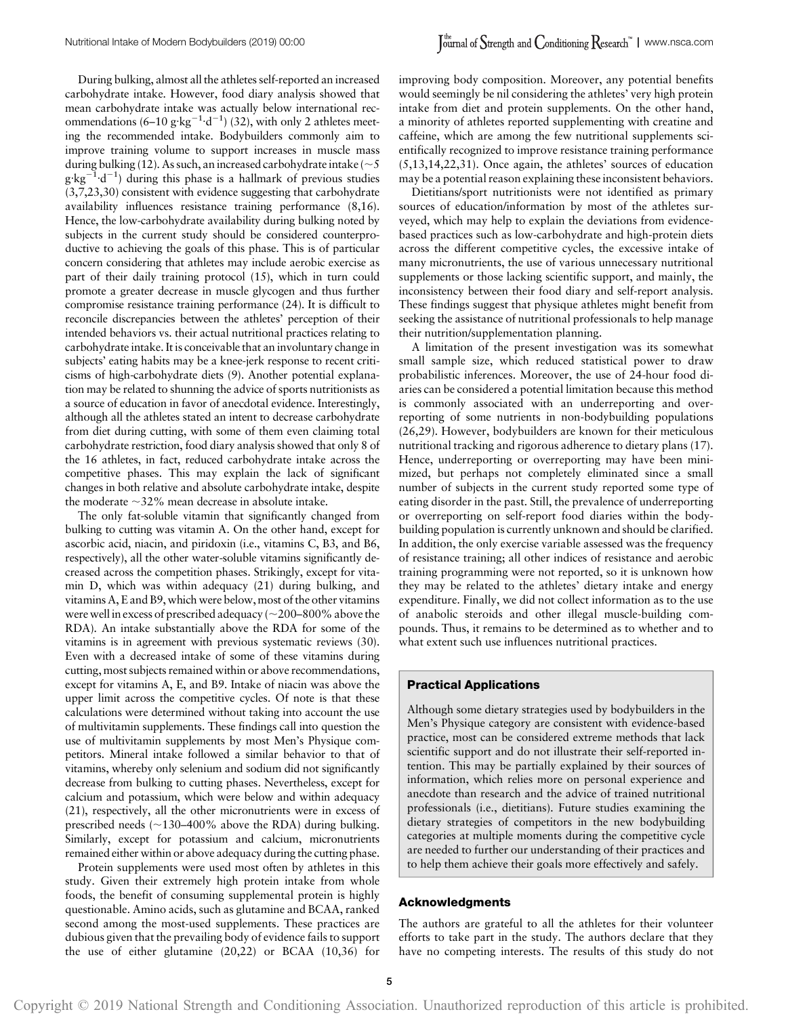During bulking, almost all the athletes self-reported an increased carbohydrate intake. However, food diary analysis showed that mean carbohydrate intake was actually below international recommendations  $(6-10 \text{ g} \cdot \text{kg}^{-1} \cdot \text{d}^{-1})$  (32), with only 2 athletes meeting the recommended intake. Bodybuilders commonly aim to improve training volume to support increases in muscle mass during bulking (12). As such, an increased carbohydrate intake ( $\sim$  5  $g \cdot kg^{-1} d^{-1}$ ) during this phase is a hallmark of previous studies (3,7,23,30) consistent with evidence suggesting that carbohydrate availability influences resistance training performance (8,16). Hence, the low-carbohydrate availability during bulking noted by subjects in the current study should be considered counterproductive to achieving the goals of this phase. This is of particular concern considering that athletes may include aerobic exercise as part of their daily training protocol (15), which in turn could promote a greater decrease in muscle glycogen and thus further compromise resistance training performance (24). It is difficult to reconcile discrepancies between the athletes' perception of their intended behaviors vs. their actual nutritional practices relating to carbohydrate intake. It is conceivable that an involuntary change in subjects' eating habits may be a knee-jerk response to recent criticisms of high-carbohydrate diets (9). Another potential explanation may be related to shunning the advice of sports nutritionists as a source of education in favor of anecdotal evidence. Interestingly, although all the athletes stated an intent to decrease carbohydrate from diet during cutting, with some of them even claiming total carbohydrate restriction, food diary analysis showed that only 8 of the 16 athletes, in fact, reduced carbohydrate intake across the competitive phases. This may explain the lack of significant changes in both relative and absolute carbohydrate intake, despite the moderate  $\sim$ 32% mean decrease in absolute intake.

The only fat-soluble vitamin that significantly changed from bulking to cutting was vitamin A. On the other hand, except for ascorbic acid, niacin, and piridoxin (i.e., vitamins C, B3, and B6, respectively), all the other water-soluble vitamins significantly decreased across the competition phases. Strikingly, except for vitamin D, which was within adequacy (21) during bulking, and vitamins A, E and B9, which were below, most of the other vitamins were well in excess of prescribed adequacy ( $\sim$ 200–800% above the RDA). An intake substantially above the RDA for some of the vitamins is in agreement with previous systematic reviews (30). Even with a decreased intake of some of these vitamins during cutting, most subjects remained within or above recommendations, except for vitamins A, E, and B9. Intake of niacin was above the upper limit across the competitive cycles. Of note is that these calculations were determined without taking into account the use of multivitamin supplements. These findings call into question the use of multivitamin supplements by most Men's Physique competitors. Mineral intake followed a similar behavior to that of vitamins, whereby only selenium and sodium did not significantly decrease from bulking to cutting phases. Nevertheless, except for calcium and potassium, which were below and within adequacy (21), respectively, all the other micronutrients were in excess of prescribed needs  $(\sim130-400\%$  above the RDA) during bulking. Similarly, except for potassium and calcium, micronutrients remained either within or above adequacy during the cutting phase.

Protein supplements were used most often by athletes in this study. Given their extremely high protein intake from whole foods, the benefit of consuming supplemental protein is highly questionable. Amino acids, such as glutamine and BCAA, ranked second among the most-used supplements. These practices are dubious given that the prevailing body of evidence fails to support the use of either glutamine (20,22) or BCAA (10,36) for improving body composition. Moreover, any potential benefits would seemingly be nil considering the athletes' very high protein intake from diet and protein supplements. On the other hand, a minority of athletes reported supplementing with creatine and caffeine, which are among the few nutritional supplements scientifically recognized to improve resistance training performance (5,13,14,22,31). Once again, the athletes' sources of education may be a potential reason explaining these inconsistent behaviors.

Dietitians/sport nutritionists were not identified as primary sources of education/information by most of the athletes surveyed, which may help to explain the deviations from evidencebased practices such as low-carbohydrate and high-protein diets across the different competitive cycles, the excessive intake of many micronutrients, the use of various unnecessary nutritional supplements or those lacking scientific support, and mainly, the inconsistency between their food diary and self-report analysis. These findings suggest that physique athletes might benefit from seeking the assistance of nutritional professionals to help manage their nutrition/supplementation planning.

A limitation of the present investigation was its somewhat small sample size, which reduced statistical power to draw probabilistic inferences. Moreover, the use of 24-hour food diaries can be considered a potential limitation because this method is commonly associated with an underreporting and overreporting of some nutrients in non-bodybuilding populations (26,29). However, bodybuilders are known for their meticulous nutritional tracking and rigorous adherence to dietary plans (17). Hence, underreporting or overreporting may have been minimized, but perhaps not completely eliminated since a small number of subjects in the current study reported some type of eating disorder in the past. Still, the prevalence of underreporting or overreporting on self-report food diaries within the bodybuilding population is currently unknown and should be clarified. In addition, the only exercise variable assessed was the frequency of resistance training; all other indices of resistance and aerobic training programming were not reported, so it is unknown how they may be related to the athletes' dietary intake and energy expenditure. Finally, we did not collect information as to the use of anabolic steroids and other illegal muscle-building compounds. Thus, it remains to be determined as to whether and to what extent such use influences nutritional practices.

## Practical Applications

Although some dietary strategies used by bodybuilders in the Men's Physique category are consistent with evidence-based practice, most can be considered extreme methods that lack scientific support and do not illustrate their self-reported intention. This may be partially explained by their sources of information, which relies more on personal experience and anecdote than research and the advice of trained nutritional professionals (i.e., dietitians). Future studies examining the dietary strategies of competitors in the new bodybuilding categories at multiple moments during the competitive cycle are needed to further our understanding of their practices and to help them achieve their goals more effectively and safely.

## Acknowledgments

The authors are grateful to all the athletes for their volunteer efforts to take part in the study. The authors declare that they have no competing interests. The results of this study do not